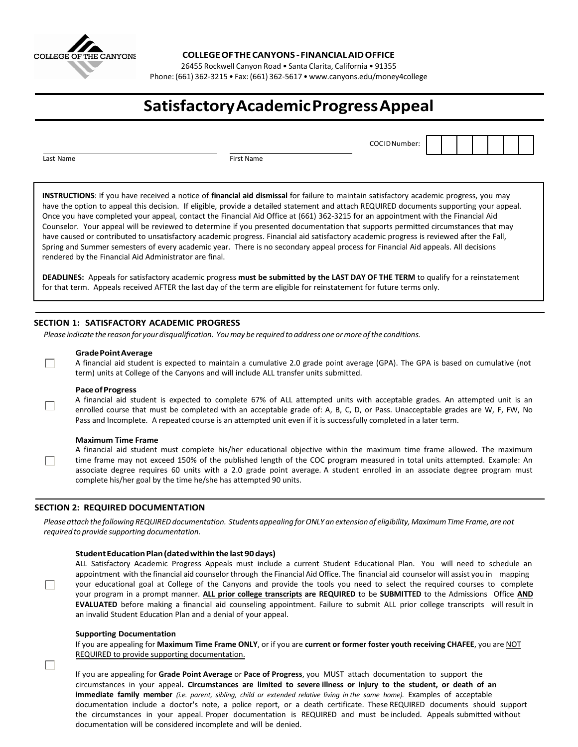

**COLLEGEOFTHECANYONS - FINANCIALAIDOFFICE**

26455 Rockwell Canyon Road • Santa Clarita, California • 91355

Phone: (661) 362-3215 • Fax: (661) 362-5617 [• www.canyons.edu/money4college](http://www.canyons.edu/money4college)

# **SatisfactoryAcademicProgressAppeal**

COCIDNumber:

Last Name First Name **First Name** 

 $\Box$ 

П

 $\Box$ 

П

 $\Box$ 

**INSTRUCTIONS**: If you have received a notice of **financial aid dismissal** for failure to maintain satisfactory academic progress, you may have the option to appeal this decision. If eligible, provide a detailed statement and attach REQUIRED documents supporting your appeal. Once you have completed your appeal, contact the Financial Aid Office at (661) 362-3215 for an appointment with the Financial Aid Counselor. Your appeal will be reviewed to determine if you presented documentation that supports permitted circumstances that may have caused or contributed to unsatisfactory academic progress. Financial aid satisfactory academic progress is reviewed after the Fall, Spring and Summer semesters of every academic year. There is no secondary appeal process for Financial Aid appeals. All decisions rendered by the Financial Aid Administrator are final.

**DEADLINES:** Appeals for satisfactory academic progress **must be submitted by the LAST DAY OF THE TERM** to qualify for a reinstatement for that term. Appeals received AFTER the last day of the term are eligible for reinstatement for future terms only.

# **SECTION 1: SATISFACTORY ACADEMIC PROGRESS**

*Please indicate the reason for your disqualification. Youmay be required to address one ormore ofthe conditions.*

## **GradePointAverage**

A financial aid student is expected to maintain a cumulative 2.0 grade point average (GPA). The GPA is based on cumulative (not term) units at College of the Canyons and will include ALL transfer units submitted.

#### **PaceofProgress**

A financial aid student is expected to complete 67% of ALL attempted units with acceptable grades. An attempted unit is an enrolled course that must be completed with an acceptable grade of: A, B, C, D, or Pass. Unacceptable grades are W, F, FW, No Pass and Incomplete. A repeated course is an attempted unit even if it is successfully completed in a later term.

#### **Maximum Time Frame**

A financial aid student must complete his/her educational objective within the maximum time frame allowed. The maximum time frame may not exceed 150% of the published length of the COC program measured in total units attempted. Example: An associate degree requires 60 units with a 2.0 grade point average. A student enrolled in an associate degree program must complete his/her goal by the time he/she has attempted 90 units.

## **SECTION 2: REQUIRED DOCUMENTATION**

Please attach the following REQUIRED documentation. Students appealing for ONLY an extension of eligibility, Maximum Time Frame, are not *required to provide supporting documentation.*

## **StudentEducationPlan(datedwithinthelast90days)**

ALL Satisfactory Academic Progress Appeals must include a current Student Educational Plan. You will need to schedule an appointment with the financial aid counselor through the Financial Aid Office. The financial aid counselor will assist you in mapping your educational goal at College of the Canyons and provide the tools you need to select the required courses to complete your program in a prompt manner. **ALL prior college transcripts are REQUIRED** to be **SUBMITTED** to the Admissions Office **AND EVALUATED** before making a financial aid counseling appointment. Failure to submit ALL prior college transcripts will result in an invalid Student Education Plan and a denial of your appeal.

#### **Supporting Documentation**

If you are appealing for **Maximum Time Frame ONLY**, or if you are **current or former foster youth receiving CHAFEE**, you are NOT REQUIRED to provide supporting documentation.

If you are appealing for **Grade Point Average** or **Pace of Progress**, you MUST attach documentation to support the circumstances in your appeal**. Circumstances are limited to severe illness or injury to the student, or death of an immediate family member** *(i.e. parent, sibling, child or extended relative living in the same home).* Examples of acceptable documentation include a doctor's note, a police report, or a death certificate. These REQUIRED documents should support the circumstances in your appeal. Proper documentation is REQUIRED and must be included. Appeals submitted without documentation will be considered incomplete and will be denied.